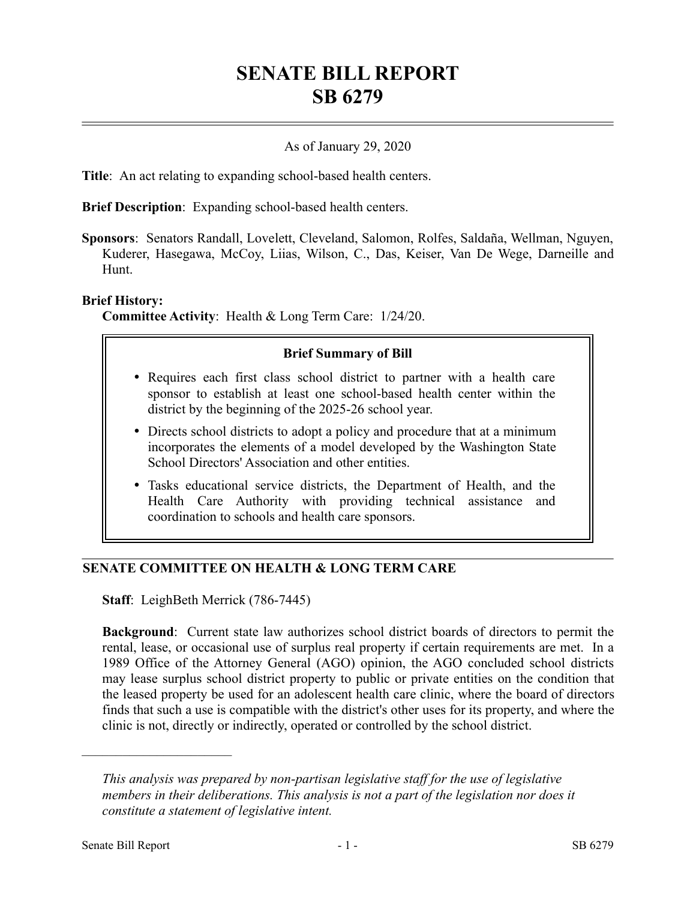# **SENATE BILL REPORT SB 6279**

### As of January 29, 2020

**Title**: An act relating to expanding school-based health centers.

**Brief Description**: Expanding school-based health centers.

**Sponsors**: Senators Randall, Lovelett, Cleveland, Salomon, Rolfes, Saldaña, Wellman, Nguyen, Kuderer, Hasegawa, McCoy, Liias, Wilson, C., Das, Keiser, Van De Wege, Darneille and Hunt.

#### **Brief History:**

**Committee Activity**: Health & Long Term Care: 1/24/20.

#### **Brief Summary of Bill**

- Requires each first class school district to partner with a health care sponsor to establish at least one school-based health center within the district by the beginning of the 2025-26 school year.
- Directs school districts to adopt a policy and procedure that at a minimum incorporates the elements of a model developed by the Washington State School Directors' Association and other entities.
- Tasks educational service districts, the Department of Health, and the Health Care Authority with providing technical assistance and coordination to schools and health care sponsors.

## **SENATE COMMITTEE ON HEALTH & LONG TERM CARE**

**Staff**: LeighBeth Merrick (786-7445)

**Background**: Current state law authorizes school district boards of directors to permit the rental, lease, or occasional use of surplus real property if certain requirements are met. In a 1989 Office of the Attorney General (AGO) opinion, the AGO concluded school districts may lease surplus school district property to public or private entities on the condition that the leased property be used for an adolescent health care clinic, where the board of directors finds that such a use is compatible with the district's other uses for its property, and where the clinic is not, directly or indirectly, operated or controlled by the school district.

––––––––––––––––––––––

*This analysis was prepared by non-partisan legislative staff for the use of legislative members in their deliberations. This analysis is not a part of the legislation nor does it constitute a statement of legislative intent.*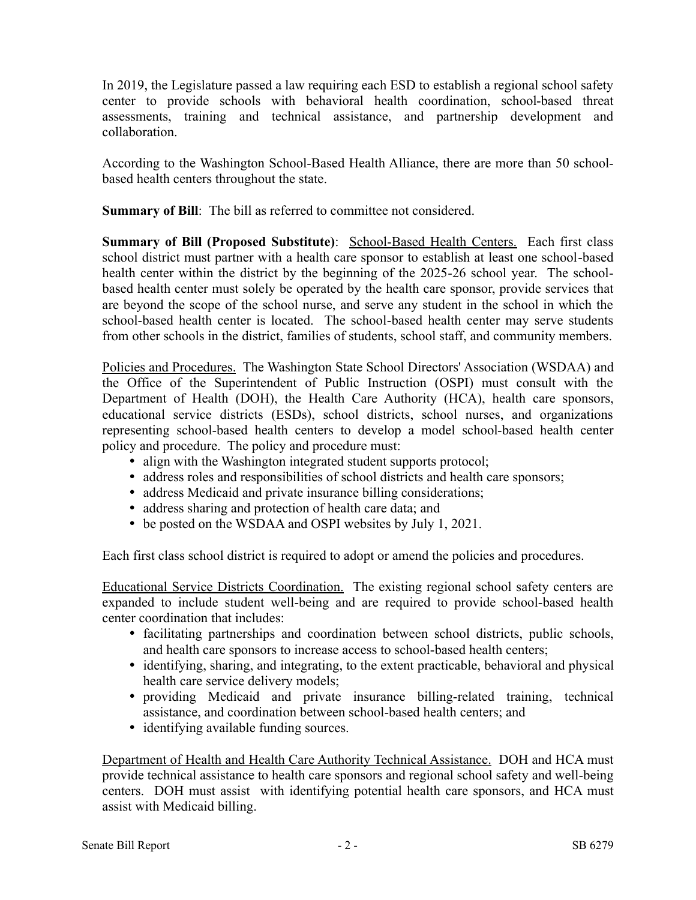In 2019, the Legislature passed a law requiring each ESD to establish a regional school safety center to provide schools with behavioral health coordination, school-based threat assessments, training and technical assistance, and partnership development and collaboration.

According to the Washington School-Based Health Alliance, there are more than 50 schoolbased health centers throughout the state.

**Summary of Bill**: The bill as referred to committee not considered.

**Summary of Bill (Proposed Substitute)**: School-Based Health Centers. Each first class school district must partner with a health care sponsor to establish at least one school-based health center within the district by the beginning of the 2025-26 school year. The schoolbased health center must solely be operated by the health care sponsor, provide services that are beyond the scope of the school nurse, and serve any student in the school in which the school-based health center is located. The school-based health center may serve students from other schools in the district, families of students, school staff, and community members.

Policies and Procedures. The Washington State School Directors' Association (WSDAA) and the Office of the Superintendent of Public Instruction (OSPI) must consult with the Department of Health (DOH), the Health Care Authority (HCA), health care sponsors, educational service districts (ESDs), school districts, school nurses, and organizations representing school-based health centers to develop a model school-based health center policy and procedure. The policy and procedure must:

- align with the Washington integrated student supports protocol;
- address roles and responsibilities of school districts and health care sponsors;
- address Medicaid and private insurance billing considerations;
- address sharing and protection of health care data; and
- be posted on the WSDAA and OSPI websites by July 1, 2021.

Each first class school district is required to adopt or amend the policies and procedures.

Educational Service Districts Coordination. The existing regional school safety centers are expanded to include student well-being and are required to provide school-based health center coordination that includes:

- facilitating partnerships and coordination between school districts, public schools, and health care sponsors to increase access to school-based health centers;
- identifying, sharing, and integrating, to the extent practicable, behavioral and physical health care service delivery models;
- providing Medicaid and private insurance billing-related training, technical assistance, and coordination between school-based health centers; and
- identifying available funding sources.

Department of Health and Health Care Authority Technical Assistance. DOH and HCA must provide technical assistance to health care sponsors and regional school safety and well-being centers. DOH must assist with identifying potential health care sponsors, and HCA must assist with Medicaid billing.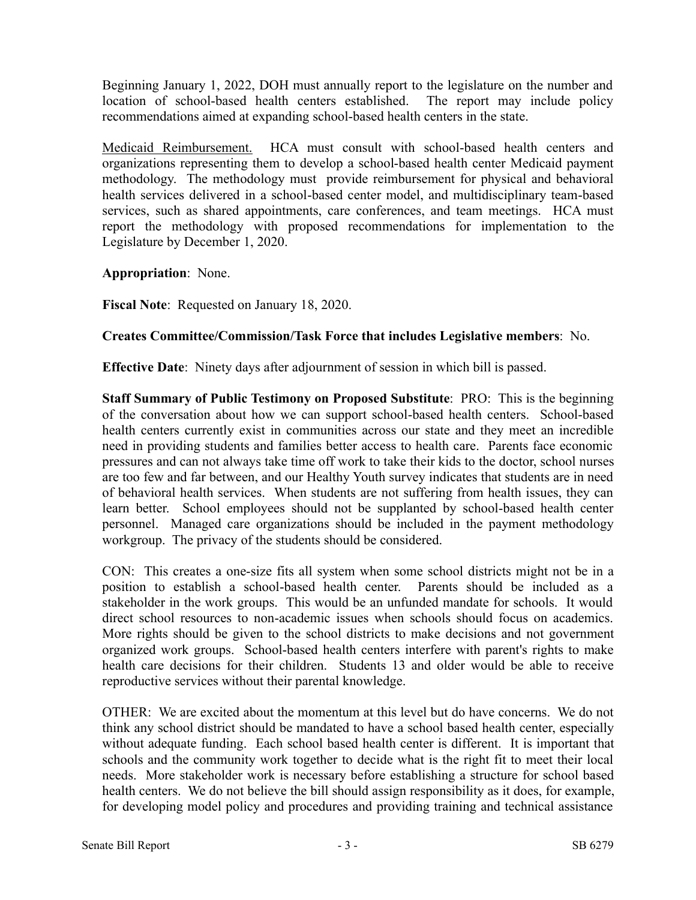Beginning January 1, 2022, DOH must annually report to the legislature on the number and location of school-based health centers established. The report may include policy recommendations aimed at expanding school-based health centers in the state.

Medicaid Reimbursement. HCA must consult with school-based health centers and organizations representing them to develop a school-based health center Medicaid payment methodology. The methodology must provide reimbursement for physical and behavioral health services delivered in a school-based center model, and multidisciplinary team-based services, such as shared appointments, care conferences, and team meetings. HCA must report the methodology with proposed recommendations for implementation to the Legislature by December 1, 2020.

**Appropriation**: None.

**Fiscal Note**: Requested on January 18, 2020.

#### **Creates Committee/Commission/Task Force that includes Legislative members**: No.

**Effective Date**: Ninety days after adjournment of session in which bill is passed.

**Staff Summary of Public Testimony on Proposed Substitute**: PRO: This is the beginning of the conversation about how we can support school-based health centers. School-based health centers currently exist in communities across our state and they meet an incredible need in providing students and families better access to health care. Parents face economic pressures and can not always take time off work to take their kids to the doctor, school nurses are too few and far between, and our Healthy Youth survey indicates that students are in need of behavioral health services. When students are not suffering from health issues, they can learn better. School employees should not be supplanted by school-based health center personnel. Managed care organizations should be included in the payment methodology workgroup. The privacy of the students should be considered.

CON: This creates a one-size fits all system when some school districts might not be in a position to establish a school-based health center. Parents should be included as a stakeholder in the work groups. This would be an unfunded mandate for schools. It would direct school resources to non-academic issues when schools should focus on academics. More rights should be given to the school districts to make decisions and not government organized work groups. School-based health centers interfere with parent's rights to make health care decisions for their children. Students 13 and older would be able to receive reproductive services without their parental knowledge.

OTHER: We are excited about the momentum at this level but do have concerns. We do not think any school district should be mandated to have a school based health center, especially without adequate funding. Each school based health center is different. It is important that schools and the community work together to decide what is the right fit to meet their local needs. More stakeholder work is necessary before establishing a structure for school based health centers. We do not believe the bill should assign responsibility as it does, for example, for developing model policy and procedures and providing training and technical assistance